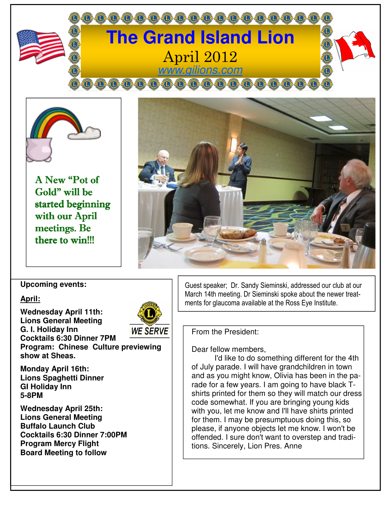



A New "Pot of Gold" will be started beginning with our April meetings. Be there to win!!!



**Upcoming events:** 

### **April:**

**Wednesday April 11th: Lions General Meeting G. I. Holiday Inn Cocktails 6:30 Dinner 7PM** 



**Program: Chinese Culture previewing show at Sheas.** 

**Monday April 16th: Lions Spaghetti Dinner GI Holiday Inn 5-8PM** 

**Wednesday April 25th: Lions General Meeting Buffalo Launch Club Cocktails 6:30 Dinner 7:00PM Program Mercy Flight Board Meeting to follow** 

Guest speaker; Dr. Sandy Sieminski, addressed our club at our March 14th meeting. Dr Sieminski spoke about the newer treatments for glaucoma available at the Ross Eye Institute.

From the President:

Dear fellow members,

 I'd like to do something different for the 4th of July parade. I will have grandchildren in town and as you might know, Olivia has been in the parade for a few years. I am going to have black Tshirts printed for them so they will match our dress code somewhat. If you are bringing young kids with you, let me know and I'll have shirts printed for them. I may be presumptuous doing this, so please, if anyone objects let me know. I won't be offended. I sure don't want to overstep and traditions. Sincerely, Lion Pres. Anne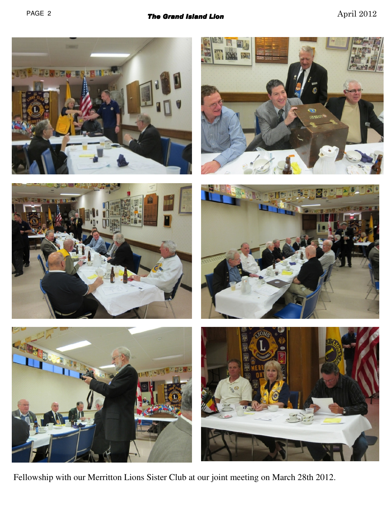











Fellowship with our Merritton Lions Sister Club at our joint meeting on March 28th 2012.